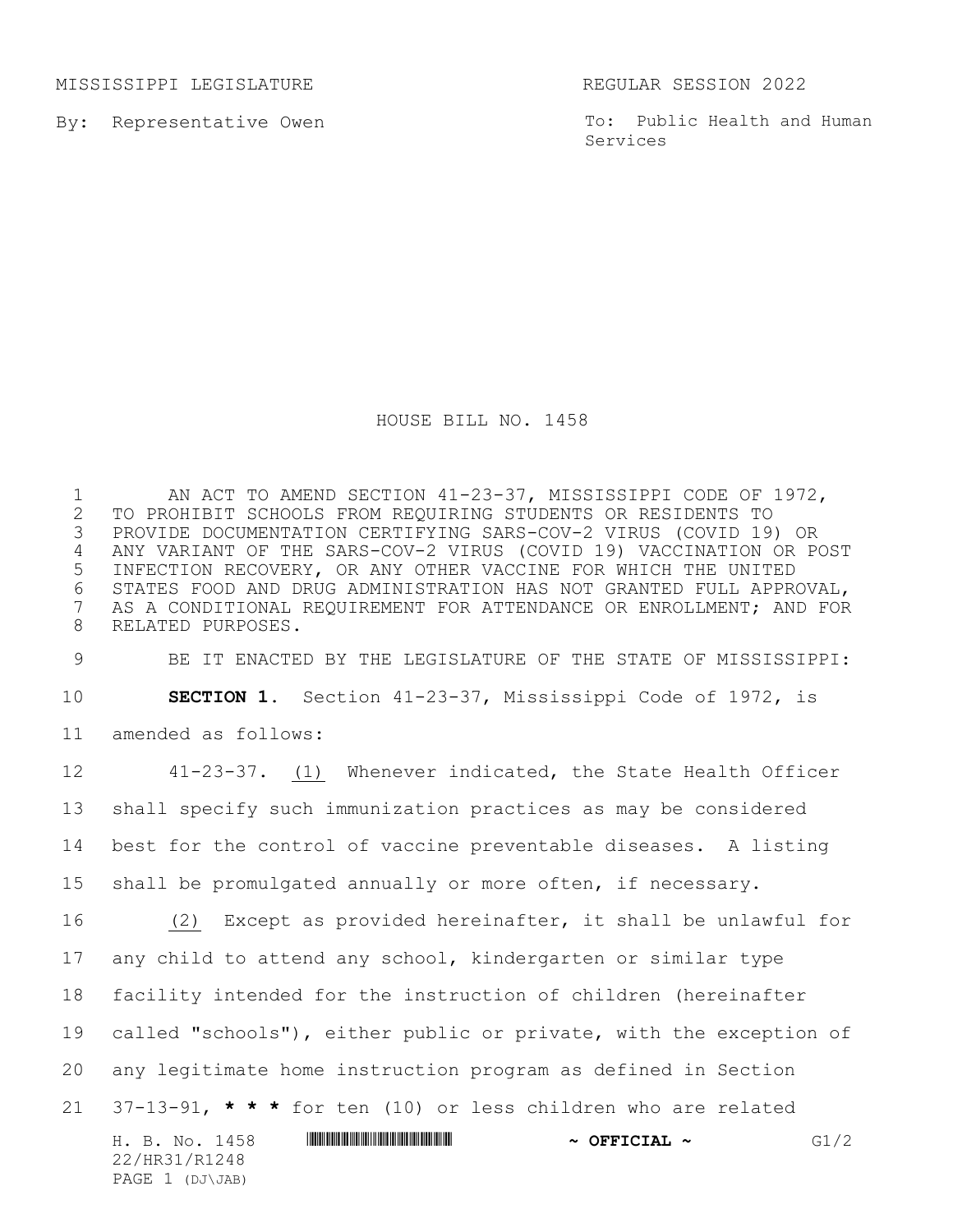MISSISSIPPI LEGISLATURE REGULAR SESSION 2022

By: Representative Owen

PAGE 1 (DJ\JAB)

To: Public Health and Human Services

## HOUSE BILL NO. 1458

1 AN ACT TO AMEND SECTION 41-23-37, MISSISSIPPI CODE OF 1972,<br>2 TO PROHIBIT SCHOOLS FROM REQUIRING STUDENTS OR RESIDENTS TO 2 TO PROHIBIT SCHOOLS FROM REQUIRING STUDENTS OR RESIDENTS TO<br>3 PROVIDE DOCUMENTATION CERTIFYING SARS-COV-2 VIRUS (COVID 19) 3 PROVIDE DOCUMENTATION CERTIFYING SARS-COV-2 VIRUS (COVID 19) OR 4 ANY VARIANT OF THE SARS-COV-2 VIRUS (COVID 19) VACCINATION OR POST 5 INFECTION RECOVERY, OR ANY OTHER VACCINE FOR WHICH THE UNITED 6 STATES FOOD AND DRUG ADMINISTRATION HAS NOT GRANTED FULL APPROVAL,<br>7 AS A CONDITIONAL REOUIREMENT FOR ATTENDANCE OR ENROLLMENT; AND FOR AS A CONDITIONAL REQUIREMENT FOR ATTENDANCE OR ENROLLMENT; AND FOR 8 RELATED PURPOSES.

9 BE IT ENACTED BY THE LEGISLATURE OF THE STATE OF MISSISSIPPI: 10 **SECTION 1.** Section 41-23-37, Mississippi Code of 1972, is 11 amended as follows:

H. B. No. 1458 \*HR31/R1248\* **~ OFFICIAL ~** G1/2 22/HR31/R1248 41-23-37. (1) Whenever indicated, the State Health Officer shall specify such immunization practices as may be considered best for the control of vaccine preventable diseases. A listing shall be promulgated annually or more often, if necessary. (2) Except as provided hereinafter, it shall be unlawful for any child to attend any school, kindergarten or similar type facility intended for the instruction of children (hereinafter called "schools"), either public or private, with the exception of any legitimate home instruction program as defined in Section 37-13-91, **\* \* \*** for ten (10) or less children who are related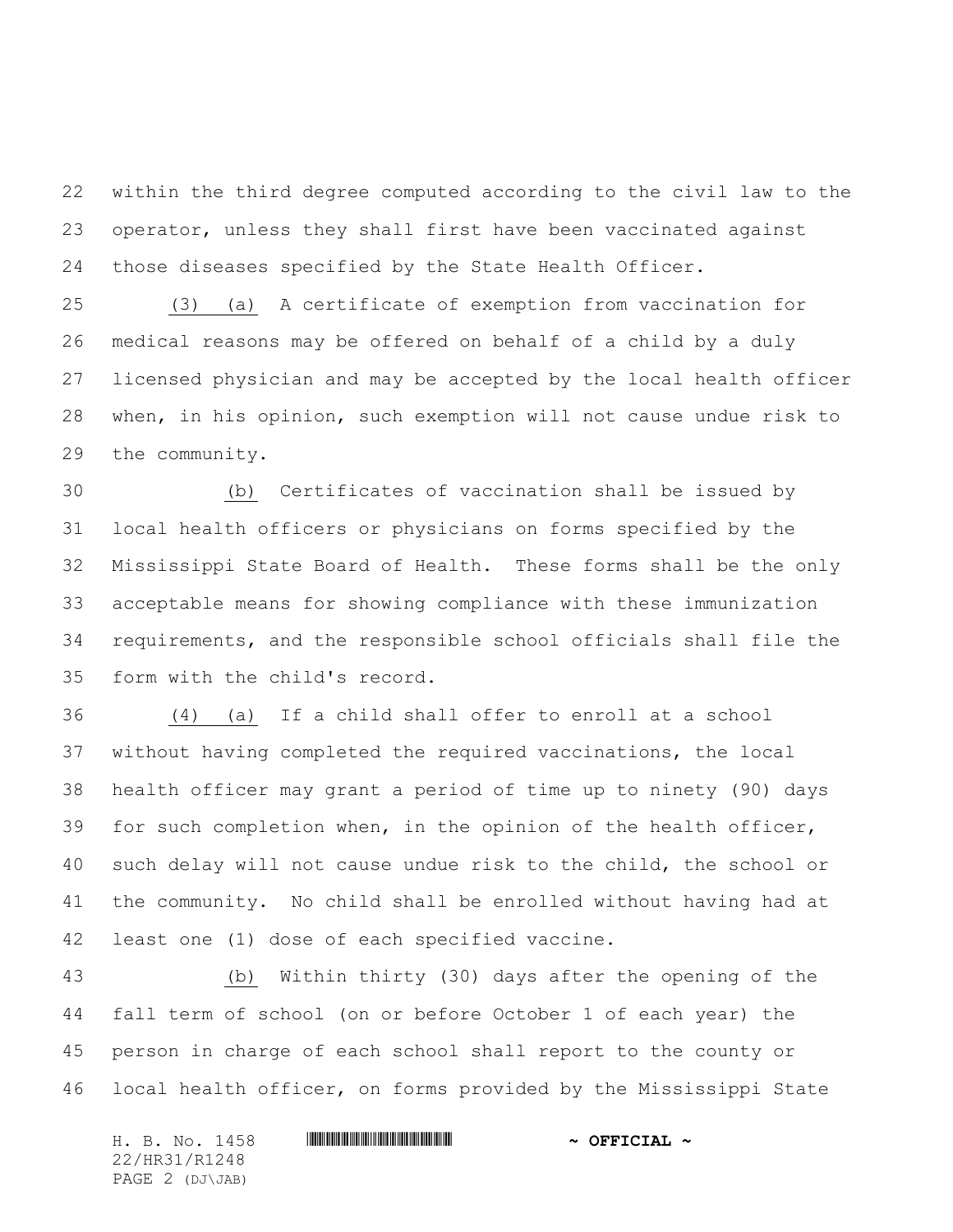within the third degree computed according to the civil law to the operator, unless they shall first have been vaccinated against those diseases specified by the State Health Officer.

 (3) (a) A certificate of exemption from vaccination for medical reasons may be offered on behalf of a child by a duly licensed physician and may be accepted by the local health officer when, in his opinion, such exemption will not cause undue risk to the community.

 (b) Certificates of vaccination shall be issued by local health officers or physicians on forms specified by the Mississippi State Board of Health. These forms shall be the only acceptable means for showing compliance with these immunization requirements, and the responsible school officials shall file the form with the child's record.

 (4) (a) If a child shall offer to enroll at a school without having completed the required vaccinations, the local health officer may grant a period of time up to ninety (90) days for such completion when, in the opinion of the health officer, such delay will not cause undue risk to the child, the school or the community. No child shall be enrolled without having had at least one (1) dose of each specified vaccine.

 (b) Within thirty (30) days after the opening of the fall term of school (on or before October 1 of each year) the person in charge of each school shall report to the county or local health officer, on forms provided by the Mississippi State

H. B. No. 1458 \*HR31/R1248\* **~ OFFICIAL ~** 22/HR31/R1248 PAGE 2 (DJ\JAB)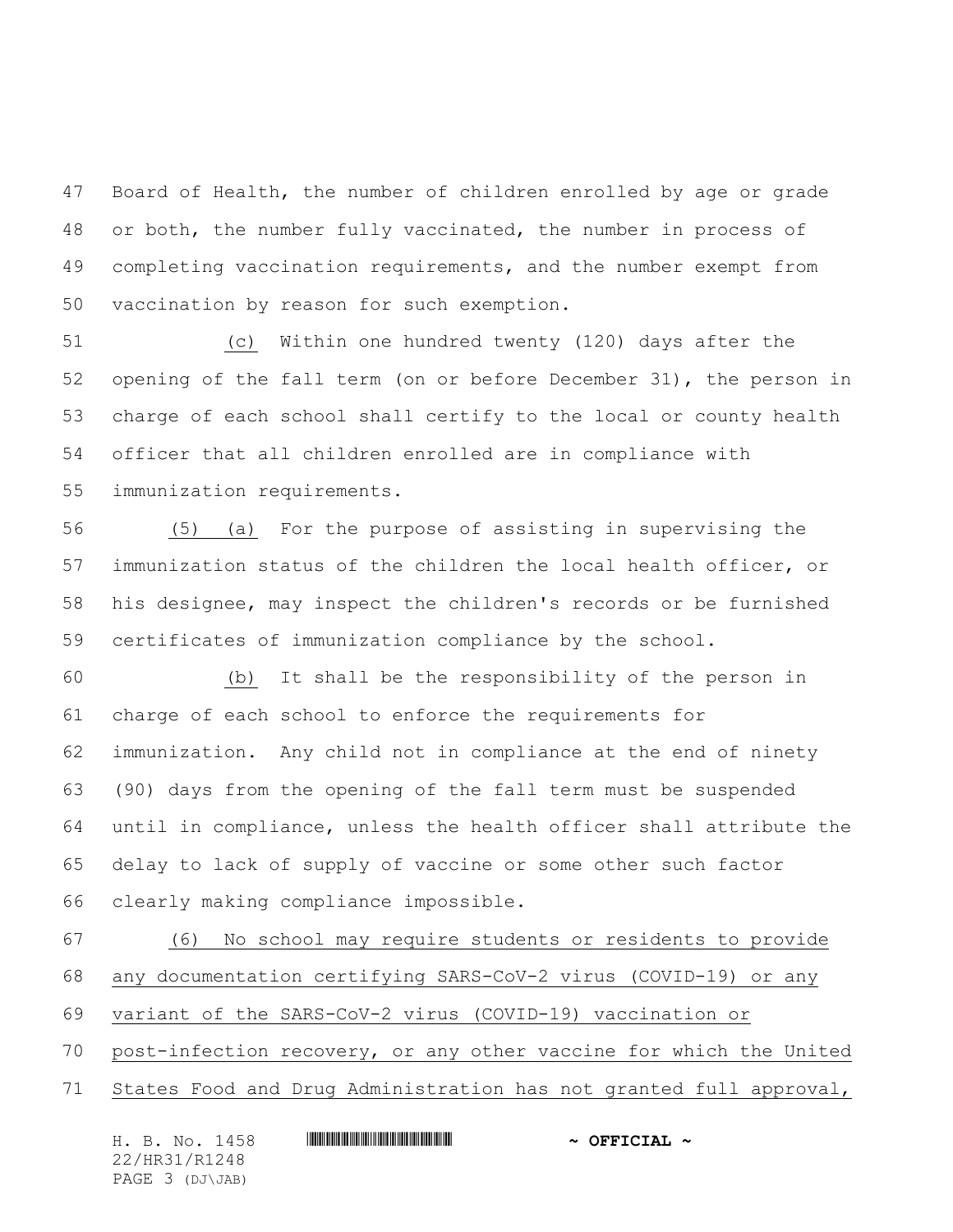Board of Health, the number of children enrolled by age or grade or both, the number fully vaccinated, the number in process of completing vaccination requirements, and the number exempt from vaccination by reason for such exemption.

 (c) Within one hundred twenty (120) days after the opening of the fall term (on or before December 31), the person in charge of each school shall certify to the local or county health officer that all children enrolled are in compliance with immunization requirements.

 (5) (a) For the purpose of assisting in supervising the immunization status of the children the local health officer, or his designee, may inspect the children's records or be furnished certificates of immunization compliance by the school.

 (b) It shall be the responsibility of the person in charge of each school to enforce the requirements for immunization. Any child not in compliance at the end of ninety (90) days from the opening of the fall term must be suspended until in compliance, unless the health officer shall attribute the delay to lack of supply of vaccine or some other such factor clearly making compliance impossible.

 (6) No school may require students or residents to provide any documentation certifying SARS-CoV-2 virus (COVID-19) or any variant of the SARS-CoV-2 virus (COVID-19) vaccination or post-infection recovery, or any other vaccine for which the United States Food and Drug Administration has not granted full approval,

| H. B. No. 1458  | $\sim$ OFFICIAL $\sim$ |
|-----------------|------------------------|
| 22/HR31/R1248   |                        |
| PAGE 3 (DJ\JAB) |                        |